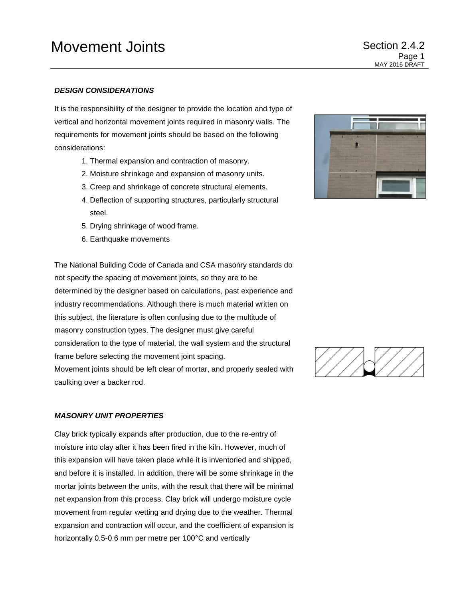## *DESIGN CONSIDERATIONS*

It is the responsibility of the designer to provide the location and type of vertical and horizontal movement joints required in masonry walls. The requirements for movement joints should be based on the following considerations:

- 1. Thermal expansion and contraction of masonry.
- 2. Moisture shrinkage and expansion of masonry units.
- 3. Creep and shrinkage of concrete structural elements.
- 4. Deflection of supporting structures, particularly structural steel.
- 5. Drying shrinkage of wood frame.
- 6. Earthquake movements

The National Building Code of Canada and CSA masonry standards do not specify the spacing of movement joints, so they are to be determined by the designer based on calculations, past experience and industry recommendations. Although there is much material written on this subject, the literature is often confusing due to the multitude of masonry construction types. The designer must give careful consideration to the type of material, the wall system and the structural frame before selecting the movement joint spacing. Movement joints should be left clear of mortar, and properly sealed with

caulking over a backer rod.

## *MASONRY UNIT PROPERTIES*

Clay brick typically expands after production, due to the re-entry of moisture into clay after it has been fired in the kiln. However, much of this expansion will have taken place while it is inventoried and shipped, and before it is installed. In addition, there will be some shrinkage in the mortar joints between the units, with the result that there will be minimal net expansion from this process. Clay brick will undergo moisture cycle movement from regular wetting and drying due to the weather. Thermal expansion and contraction will occur, and the coefficient of expansion is horizontally 0.5-0.6 mm per metre per 100°C and vertically

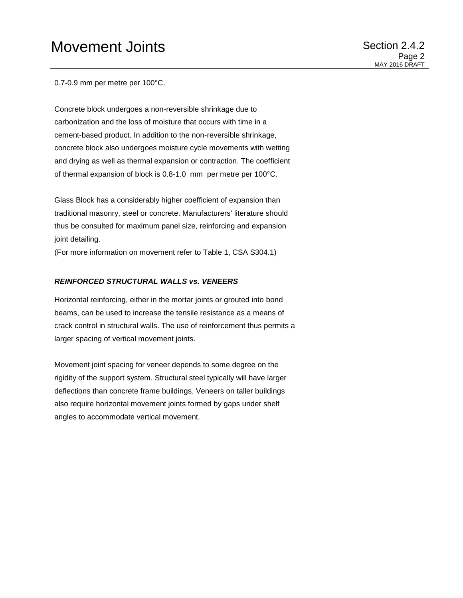# Movement Joints **Movement** Joints **Section 2.4.2**

0.7-0.9 mm per metre per 100°C.

Concrete block undergoes a non-reversible shrinkage due to carbonization and the loss of moisture that occurs with time in a cement-based product. In addition to the non-reversible shrinkage, concrete block also undergoes moisture cycle movements with wetting and drying as well as thermal expansion or contraction. The coefficient of thermal expansion of block is 0.8-1.0 mm per metre per 100°C.

Glass Block has a considerably higher coefficient of expansion than traditional masonry, steel or concrete. Manufacturers' literature should thus be consulted for maximum panel size, reinforcing and expansion joint detailing.

(For more information on movement refer to Table 1, CSA S304.1)

#### *REINFORCED STRUCTURAL WALLS vs. VENEERS*

Horizontal reinforcing, either in the mortar joints or grouted into bond beams, can be used to increase the tensile resistance as a means of crack control in structural walls. The use of reinforcement thus permits a larger spacing of vertical movement joints.

Movement joint spacing for veneer depends to some degree on the rigidity of the support system. Structural steel typically will have larger deflections than concrete frame buildings. Veneers on taller buildings also require horizontal movement joints formed by gaps under shelf angles to accommodate vertical movement.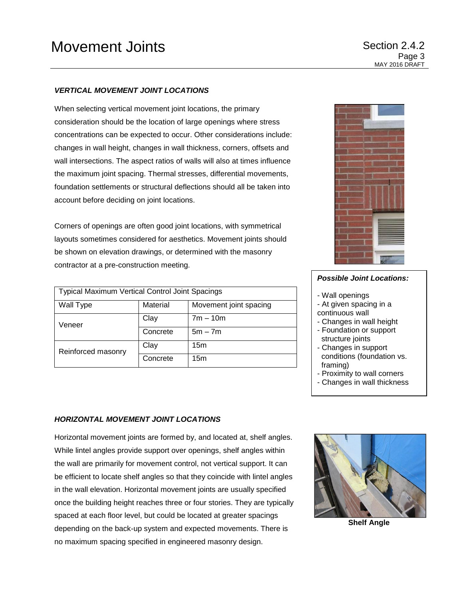## *VERTICAL MOVEMENT JOINT LOCATIONS*

When selecting vertical movement joint locations, the primary consideration should be the location of large openings where stress concentrations can be expected to occur. Other considerations include: changes in wall height, changes in wall thickness, corners, offsets and wall intersections. The aspect ratios of walls will also at times influence the maximum joint spacing. Thermal stresses, differential movements, foundation settlements or structural deflections should all be taken into account before deciding on joint locations.

Corners of openings are often good joint locations, with symmetrical layouts sometimes considered for aesthetics. Movement joints should be shown on elevation drawings, or determined with the masonry contractor at a pre-construction meeting.

| <b>Typical Maximum Vertical Control Joint Spacings</b> |          |                        |
|--------------------------------------------------------|----------|------------------------|
| Wall Type                                              | Material | Movement joint spacing |
| Veneer                                                 | Clay     | $7m - 10m$             |
|                                                        | Concrete | $5m - 7m$              |
| Reinforced masonry                                     | Clay     | 15 <sub>m</sub>        |
|                                                        | Concrete | 15 <sub>m</sub>        |



# *Possible Joint Locations:*

- Wall openings
- At given spacing in a continuous wall
- Changes in wall height - Foundation or support
- structure joints
- Changes in support conditions (foundation vs. framing)
- Proximity to wall corners
- Changes in wall thickness

#### *HORIZONTAL MOVEMENT JOINT LOCATIONS*

Horizontal movement joints are formed by, and located at, shelf angles. While lintel angles provide support over openings, shelf angles within the wall are primarily for movement control, not vertical support. It can be efficient to locate shelf angles so that they coincide with lintel angles in the wall elevation. Horizontal movement joints are usually specified once the building height reaches three or four stories. They are typically spaced at each floor level, but could be located at greater spacings depending on the back-up system and expected movements. There is no maximum spacing specified in engineered masonry design.



**Shelf Angle**